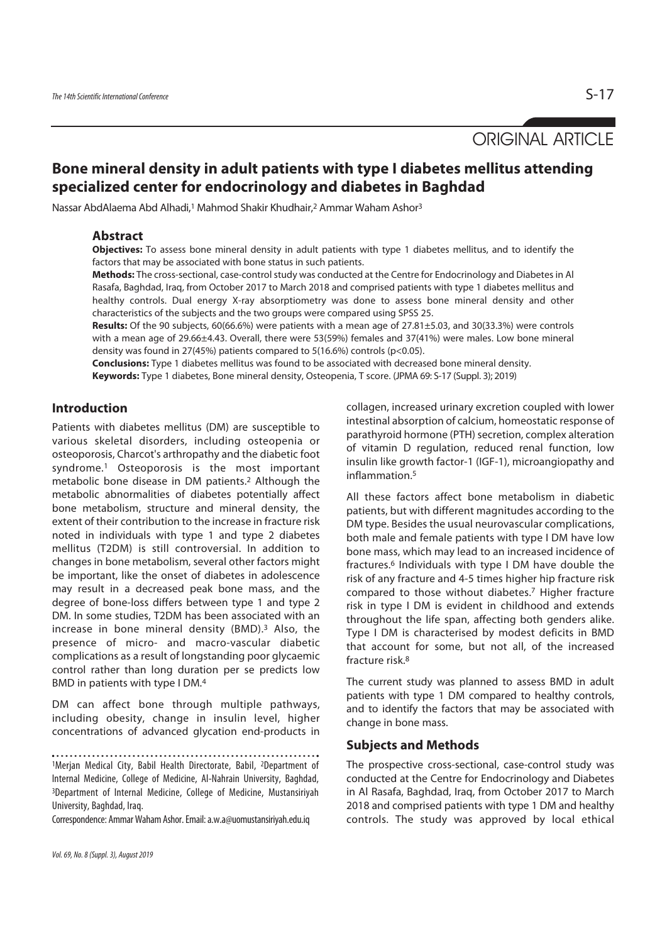ORIGINAL ARTICLE

# **Bone mineral density in adult patients with type I diabetes mellitus attending specialized center for endocrinology and diabetes in Baghdad**

Nassar AbdAlaema Abd Alhadi,<sup>1</sup> Mahmod Shakir Khudhair,<sup>2</sup> Ammar Waham Ashor<sup>3</sup>

#### **Abstract**

**Objectives:** To assess bone mineral density in adult patients with type 1 diabetes mellitus, and to identify the factors that may be associated with bone status in such patients.

**Methods:** The cross-sectional, case-control study was conducted at the Centre for Endocrinology and Diabetes in Al Rasafa, Baghdad, Iraq, from October 2017 to March 2018 and comprised patients with type 1 diabetes mellitus and healthy controls. Dual energy X-ray absorptiometry was done to assess bone mineral density and other characteristics of the subjects and the two groups were compared using SPSS 25.

**Results:** Of the 90 subjects, 60(66.6%) were patients with a mean age of 27.81±5.03, and 30(33.3%) were controls with a mean age of 29.66±4.43. Overall, there were 53(59%) females and 37(41%) were males. Low bone mineral density was found in 27(45%) patients compared to 5(16.6%) controls (p<0.05).

**Conclusions:** Type 1 diabetes mellitus was found to be associated with decreased bone mineral density. **Keywords:** Type 1 diabetes, Bone mineral density, Osteopenia, T score. (JPMA 69: S-17 (Suppl. 3); 2019)

#### **Introduction**

Patients with diabetes mellitus (DM) are susceptible to various skeletal disorders, including osteopenia or osteoporosis, Charcot's arthropathy and the diabetic foot syndrome.1 Osteoporosis is the most important metabolic bone disease in DM patients.2 Although the metabolic abnormalities of diabetes potentially affect bone metabolism, structure and mineral density, the extent of their contribution to the increase in fracture risk noted in individuals with type 1 and type 2 diabetes mellitus (T2DM) is still controversial. In addition to changes in bone metabolism, several other factors might be important, like the onset of diabetes in adolescence may result in a decreased peak bone mass, and the degree of bone-loss differs between type 1 and type 2 DM. In some studies, T2DM has been associated with an increase in bone mineral density (BMD).3 Also, the presence of micro- and macro-vascular diabetic complications as a result of longstanding poor glycaemic control rather than long duration per se predicts low BMD in patients with type I DM.4

DM can affect bone through multiple pathways, including obesity, change in insulin level, higher concentrations of advanced glycation end-products in

1Merjan Medical City, Babil Health Directorate, Babil, 2Department of Internal Medicine, College of Medicine, Al-Nahrain University, Baghdad, 3Department of Internal Medicine, College of Medicine, Mustansiriyah University, Baghdad, Iraq.

Correspondence: Ammar Waham Ashor. Email: a.w.a@uomustansiriyah.edu.iq

collagen, increased urinary excretion coupled with lower intestinal absorption of calcium, homeostatic response of parathyroid hormone (PTH) secretion, complex alteration of vitamin D regulation, reduced renal function, low insulin like growth factor-1 (IGF-1), microangiopathy and inflammation<sup>5</sup>

All these factors affect bone metabolism in diabetic patients, but with different magnitudes according to the DM type. Besides the usual neurovascular complications, both male and female patients with type I DM have low bone mass, which may lead to an increased incidence of fractures.6 Individuals with type I DM have double the risk of any fracture and 4-5 times higher hip fracture risk compared to those without diabetes.7 Higher fracture risk in type I DM is evident in childhood and extends throughout the life span, affecting both genders alike. Type I DM is characterised by modest deficits in BMD that account for some, but not all, of the increased fracture risk.8

The current study was planned to assess BMD in adult patients with type 1 DM compared to healthy controls, and to identify the factors that may be associated with change in bone mass.

#### **Subjects and Methods**

The prospective cross-sectional, case-control study was conducted at the Centre for Endocrinology and Diabetes in Al Rasafa, Baghdad, Iraq, from October 2017 to March 2018 and comprised patients with type 1 DM and healthy controls. The study was approved by local ethical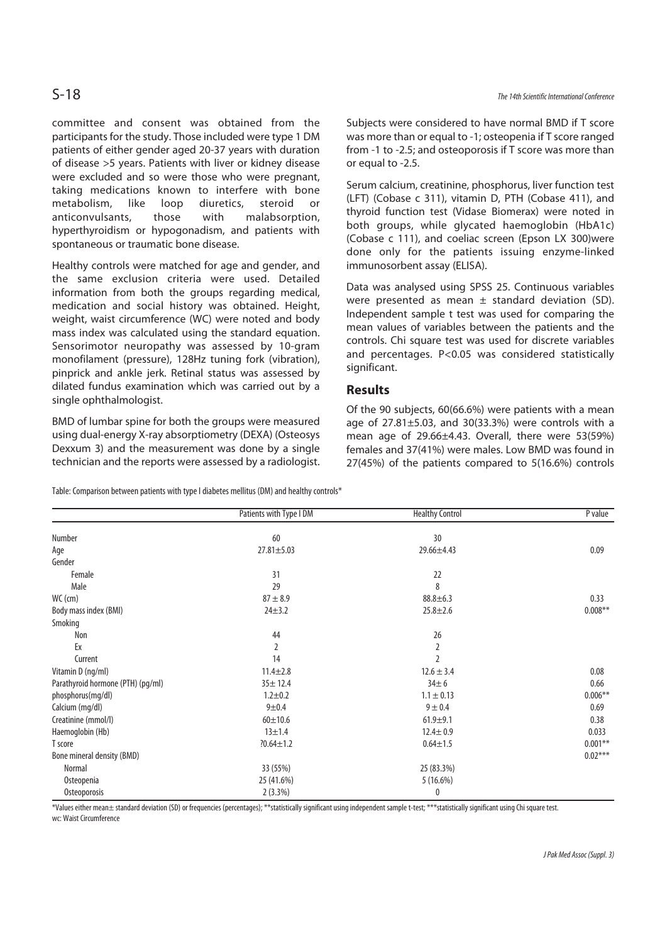## S-18 The 14th Scientific International Conference

committee and consent was obtained from the participants for the study. Those included were type 1 DM patients of either gender aged 20-37 years with duration of disease >5 years. Patients with liver or kidney disease were excluded and so were those who were pregnant, taking medications known to interfere with bone metabolism, like loop diuretics, steroid or anticonvulsants, those with malabsorption, hyperthyroidism or hypogonadism, and patients with spontaneous or traumatic bone disease.

Healthy controls were matched for age and gender, and the same exclusion criteria were used. Detailed information from both the groups regarding medical, medication and social history was obtained. Height, weight, waist circumference (WC) were noted and body mass index was calculated using the standard equation. Sensorimotor neuropathy was assessed by 10-gram monofilament (pressure), 128Hz tuning fork (vibration), pinprick and ankle jerk. Retinal status was assessed by dilated fundus examination which was carried out by a single ophthalmologist.

BMD of lumbar spine for both the groups were measured using dual-energy X-ray absorptiometry (DEXA) (Osteosys Dexxum 3) and the measurement was done by a single technician and the reports were assessed by a radiologist.

Table: Comparison between patients with type I diabetes mellitus (DM) and healthy controls\*

Subjects were considered to have normal BMD if T score was more than or equal to -1; osteopenia if T score ranged from -1 to -2.5; and osteoporosis if T score was more than or equal to -2.5.

Serum calcium, creatinine, phosphorus, liver function test (LFT) (Cobase c 311), vitamin D, PTH (Cobase 411), and thyroid function test (Vidase Biomerax) were noted in both groups, while glycated haemoglobin (HbA1c) (Cobase c 111), and coeliac screen (Epson LX 300)were done only for the patients issuing enzyme-linked immunosorbent assay (ELISA).

Data was analysed using SPSS 25. Continuous variables were presented as mean  $\pm$  standard deviation (SD). Independent sample t test was used for comparing the mean values of variables between the patients and the controls. Chi square test was used for discrete variables and percentages. P<0.05 was considered statistically significant.

#### **Results**

Of the 90 subjects, 60(66.6%) were patients with a mean age of 27.81±5.03, and 30(33.3%) were controls with a mean age of 29.66±4.43. Overall, there were 53(59%) females and 37(41%) were males. Low BMD was found in 27(45%) of the patients compared to 5(16.6%) controls

|                                   | Patients with Type I DM | <b>Healthy Control</b> | $P$ value |
|-----------------------------------|-------------------------|------------------------|-----------|
| Number                            | 60                      | 30                     |           |
| Age                               | 27.81±5.03              | 29.66±4.43             | 0.09      |
| Gender                            |                         |                        |           |
| Female                            | 31                      | 22                     |           |
| Male                              | 29                      | 8                      |           |
| WC (cm)                           | $87 + 8.9$              | $88.8 + 6.3$           | 0.33      |
| Body mass index (BMI)             | $24 + 3.2$              | $25.8 \pm 2.6$         | $0.008**$ |
| Smoking                           |                         |                        |           |
| Non                               | 44                      | 26                     |           |
| Ex                                | 2                       | 2                      |           |
| Current                           | 14                      | $\overline{2}$         |           |
| Vitamin D (ng/ml)                 | $11.4 \pm 2.8$          | $12.6 \pm 3.4$         | 0.08      |
| Parathyroid hormone (PTH) (pg/ml) | $35 + 12.4$             | $34 \pm 6$             | 0.66      |
| phosphorus(mg/dl)                 | $1.2 + 0.2$             | $1.1 \pm 0.13$         | $0.006**$ |
| Calcium (mg/dl)                   | $9 + 0.4$               | $9 + 0.4$              | 0.69      |
| Creatinine (mmol/l)               | $60 + 10.6$             | $61.9 + 9.1$           | 0.38      |
| Haemoglobin (Hb)                  | $13 + 1.4$              | $12.4 \pm 0.9$         | 0.033     |
| T score                           | $?0.64 \pm 1.2$         | $0.64 \pm 1.5$         | $0.001**$ |
| Bone mineral density (BMD)        |                         |                        | $0.02***$ |
| Normal                            | 33 (55%)                | 25 (83.3%)             |           |
| Osteopenia                        | 25 (41.6%)              | 5(16.6%)               |           |
| Osteoporosis                      | 2(3.3%)                 | 0                      |           |

\*Values either mean± standard deviation (SD) or frequencies (percentages); \*\*statistically significant using independent sample t-test; \*\*\*statistically significant using Chi square test.

wc: Waist Circumference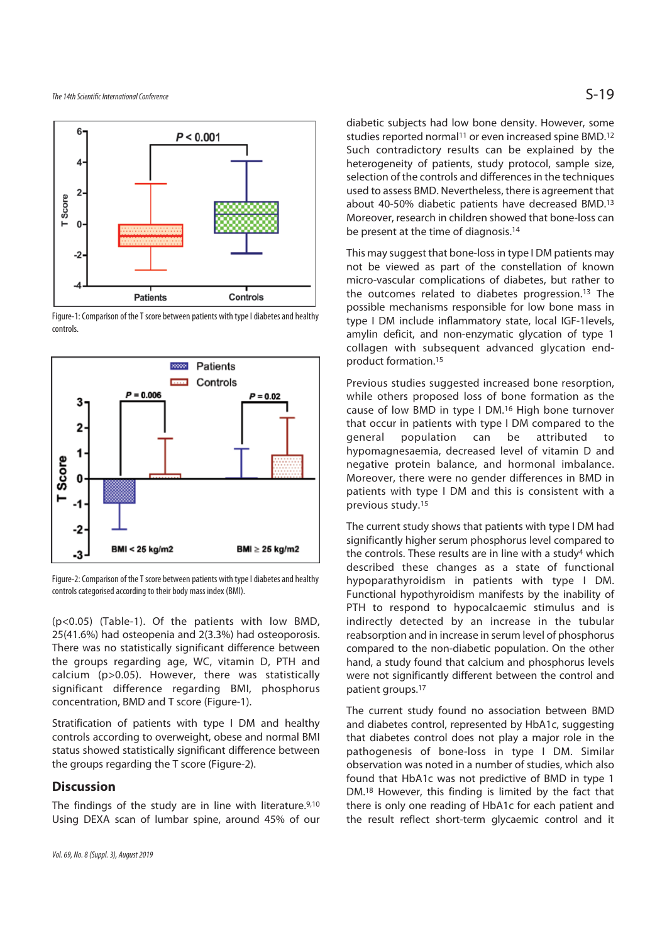

Figure-1: Comparison of the T score between patients with type I diabetes and healthy controls.



Figure-2: Comparison of the T score between patients with type I diabetes and healthy controls categorised according to their body mass index (BMI).

(p<0.05) (Table-1). Of the patients with low BMD, 25(41.6%) had osteopenia and 2(3.3%) had osteoporosis. There was no statistically significant difference between the groups regarding age, WC, vitamin D, PTH and calcium (p>0.05). However, there was statistically significant difference regarding BMI, phosphorus concentration, BMD and T score (Figure-1).

Stratification of patients with type I DM and healthy controls according to overweight, obese and normal BMI status showed statistically significant difference between the groups regarding the T score (Figure-2).

#### **Discussion**

The findings of the study are in line with literature.9,10 Using DEXA scan of lumbar spine, around 45% of our

diabetic subjects had low bone density. However, some studies reported normal<sup>11</sup> or even increased spine BMD.<sup>12</sup> Such contradictory results can be explained by the heterogeneity of patients, study protocol, sample size, selection of the controls and differences in the techniques used to assess BMD. Nevertheless, there is agreement that about 40-50% diabetic patients have decreased BMD.13 Moreover, research in children showed that bone-loss can be present at the time of diagnosis.14

This may suggest that bone-loss in type I DM patients may not be viewed as part of the constellation of known micro-vascular complications of diabetes, but rather to the outcomes related to diabetes progression.13 The possible mechanisms responsible for low bone mass in type I DM include inflammatory state, local IGF-1levels, amylin deficit, and non-enzymatic glycation of type 1 collagen with subsequent advanced glycation endproduct formation.15

Previous studies suggested increased bone resorption, while others proposed loss of bone formation as the cause of low BMD in type I DM.16 High bone turnover that occur in patients with type I DM compared to the general population can be attributed to hypomagnesaemia, decreased level of vitamin D and negative protein balance, and hormonal imbalance. Moreover, there were no gender differences in BMD in patients with type I DM and this is consistent with a previous study.15

The current study shows that patients with type I DM had significantly higher serum phosphorus level compared to the controls. These results are in line with a study<sup>4</sup> which described these changes as a state of functional hypoparathyroidism in patients with type I DM. Functional hypothyroidism manifests by the inability of PTH to respond to hypocalcaemic stimulus and is indirectly detected by an increase in the tubular reabsorption and in increase in serum level of phosphorus compared to the non-diabetic population. On the other hand, a study found that calcium and phosphorus levels were not significantly different between the control and patient groups.17

The current study found no association between BMD and diabetes control, represented by HbA1c, suggesting that diabetes control does not play a major role in the pathogenesis of bone-loss in type I DM. Similar observation was noted in a number of studies, which also found that HbA1c was not predictive of BMD in type 1 DM.<sup>18</sup> However, this finding is limited by the fact that there is only one reading of HbA1c for each patient and the result reflect short-term glycaemic control and it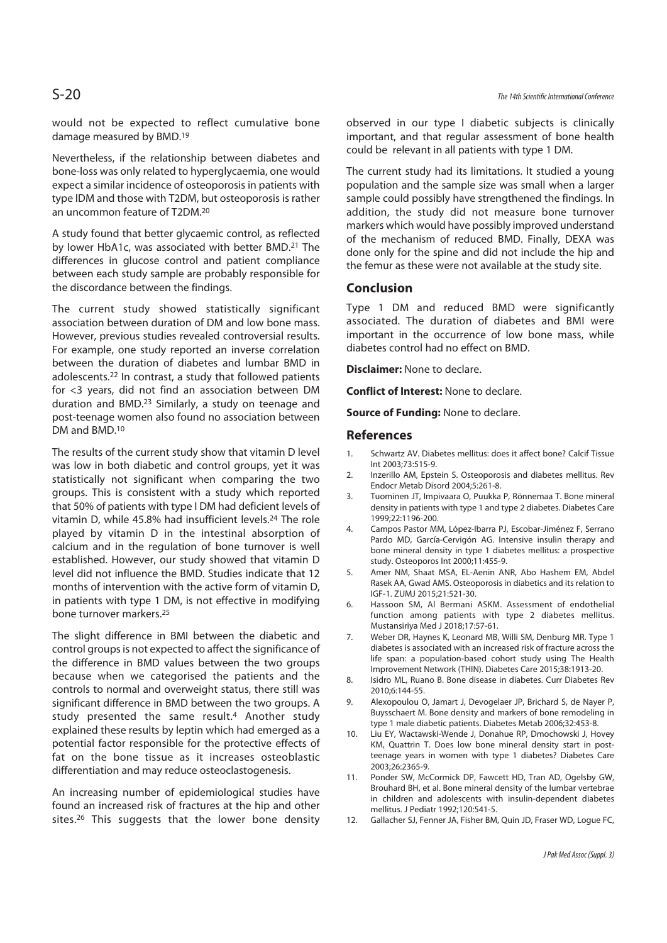would not be expected to reflect cumulative bone damage measured by BMD.19

Nevertheless, if the relationship between diabetes and bone-loss was only related to hyperglycaemia, one would expect a similar incidence of osteoporosis in patients with type IDM and those with T2DM, but osteoporosis is rather an uncommon feature of T2DM.20

A study found that better glycaemic control, as reflected by lower HbA1c, was associated with better BMD.<sup>21</sup> The differences in glucose control and patient compliance between each study sample are probably responsible for the discordance between the findings.

The current study showed statistically significant association between duration of DM and low bone mass. However, previous studies revealed controversial results. For example, one study reported an inverse correlation between the duration of diabetes and lumbar BMD in adolescents.22 In contrast, a study that followed patients for <3 years, did not find an association between DM duration and BMD.23 Similarly, a study on teenage and post-teenage women also found no association between DM and BMD.10

The results of the current study show that vitamin D level was low in both diabetic and control groups, yet it was statistically not significant when comparing the two groups. This is consistent with a study which reported that 50% of patients with type I DM had deficient levels of vitamin D, while 45.8% had insufficient levels.24 The role played by vitamin D in the intestinal absorption of calcium and in the regulation of bone turnover is well established. However, our study showed that vitamin D level did not influence the BMD. Studies indicate that 12 months of intervention with the active form of vitamin D, in patients with type 1 DM, is not effective in modifying bone turnover markers.25

The slight difference in BMI between the diabetic and control groups is not expected to affect the significance of the difference in BMD values between the two groups because when we categorised the patients and the controls to normal and overweight status, there still was significant difference in BMD between the two groups. A study presented the same result.4 Another study explained these results by leptin which had emerged as a potential factor responsible for the protective effects of fat on the bone tissue as it increases osteoblastic differentiation and may reduce osteoclastogenesis.

An increasing number of epidemiological studies have found an increased risk of fractures at the hip and other sites.<sup>26</sup> This suggests that the lower bone density observed in our type I diabetic subjects is clinically important, and that regular assessment of bone health could be relevant in all patients with type 1 DM.

The current study had its limitations. It studied a young population and the sample size was small when a larger sample could possibly have strengthened the findings. In addition, the study did not measure bone turnover markers which would have possibly improved understand of the mechanism of reduced BMD. Finally, DEXA was done only for the spine and did not include the hip and the femur as these were not available at the study site.

#### **Conclusion**

Type 1 DM and reduced BMD were significantly associated. The duration of diabetes and BMI were important in the occurrence of low bone mass, while diabetes control had no effect on BMD.

**Disclaimer:** None to declare.

**Conflict of Interest:** None to declare.

**Source of Funding:** None to declare.

#### **References**

- 1. Schwartz AV. Diabetes mellitus: does it affect bone? Calcif Tissue Int 2003;73:515-9.
- 2. Inzerillo AM, Epstein S. Osteoporosis and diabetes mellitus. Rev Endocr Metab Disord 2004;5:261-8.
- 3. Tuominen JT, Impivaara O, Puukka P, Rönnemaa T. Bone mineral density in patients with type 1 and type 2 diabetes. Diabetes Care 1999;22:1196-200.
- 4. Campos Pastor MM, López-Ibarra PJ, Escobar-Jiménez F, Serrano Pardo MD, García-Cervigón AG. Intensive insulin therapy and bone mineral density in type 1 diabetes mellitus: a prospective study. Osteoporos Int 2000;11:455-9.
- 5. Amer NM, Shaat MSA, EL-Aenin ANR, Abo Hashem EM, Abdel Rasek AA, Gwad AMS. Osteoporosis in diabetics and its relation to IGF-1. ZUMJ 2015;21:521-30.
- 6. Hassoon SM, Al Bermani ASKM. Assessment of endothelial function among patients with type 2 diabetes mellitus. Mustansiriya Med J 2018;17:57-61.
- 7. Weber DR, Haynes K, Leonard MB, Willi SM, Denburg MR. Type 1 diabetes is associated with an increased risk of fracture across the life span: a population-based cohort study using The Health Improvement Network (THIN). Diabetes Care 2015;38:1913-20.
- 8. Isidro ML, Ruano B. Bone disease in diabetes. Curr Diabetes Rev 2010;6:144-55.
- 9. Alexopoulou O, Jamart J, Devogelaer JP, Brichard S, de Nayer P, Buysschaert M. Bone density and markers of bone remodeling in type 1 male diabetic patients. Diabetes Metab 2006;32:453-8.
- 10. Liu EY, Wactawski-Wende J, Donahue RP, Dmochowski J, Hovey KM, Quattrin T. Does low bone mineral density start in postteenage years in women with type 1 diabetes? Diabetes Care 2003;26:2365-9.
- 11. Ponder SW, McCormick DP, Fawcett HD, Tran AD, Ogelsby GW, Brouhard BH, et al. Bone mineral density of the lumbar vertebrae in children and adolescents with insulin-dependent diabetes mellitus. J Pediatr 1992;120:541-5.
- 12. Gallacher SJ, Fenner JA, Fisher BM, Quin JD, Fraser WD, Logue FC,